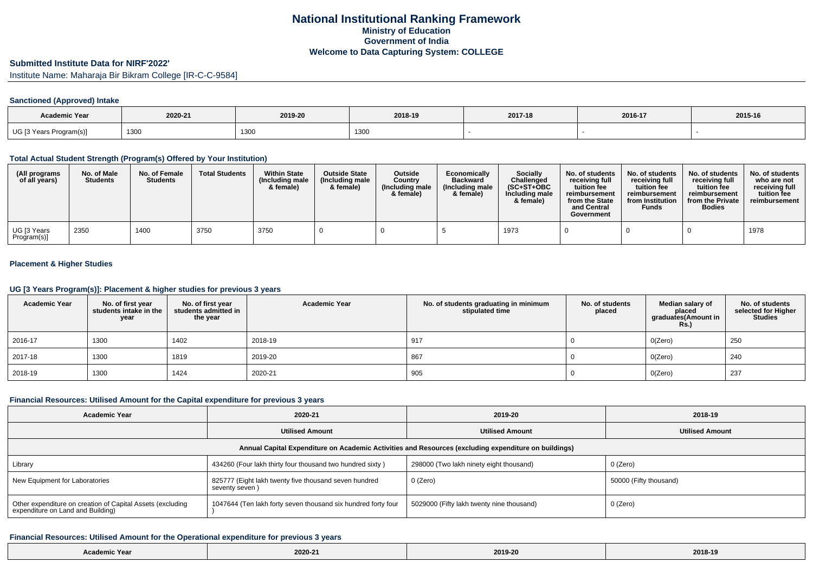### **Submitted Institute Data for NIRF'2022'**

Institute Name: Maharaja Bir Bikram College [IR-C-C-9584]

## **Sanctioned (Approved) Intake**

| <b>Academic Year</b>    | 2020-21 | 2019-20 | 2018-19 | 2017-18 | 2016-17 | 2015-16 |
|-------------------------|---------|---------|---------|---------|---------|---------|
| UG [3 Years Program(s)] | 1300    | 1300    | 1300    |         |         |         |

### **Total Actual Student Strength (Program(s) Offered by Your Institution)**

| (All programs<br>of all years) | No. of Male<br><b>Students</b> | No. of Female<br><b>Students</b> | <b>Total Students</b> | <b>Within State</b><br>(Including male<br>& female) | <b>Outside State</b><br>(Including male<br>& female) | <b>Outside</b><br>Country<br>(Including male<br>& female) | Economically<br><b>Backward</b><br>(Including male<br>& female) | <b>Socially</b><br>Challenged<br>$(SC+ST+OBC)$<br>Including male<br>& female) | No. of students<br>receiving full<br>tuition fee<br>reimbursement<br>from the State<br>and Central<br>Government | No. of students<br>receiving full<br>tuition fee<br>reimbursement<br>from Institution<br><b>Funds</b> | No. of students<br>receiving full<br>tuition fee<br>reimbursement<br>from the Private<br><b>Bodies</b> | No. of students<br>who are not<br>receiving full<br>tuition fee<br>reimbursement |
|--------------------------------|--------------------------------|----------------------------------|-----------------------|-----------------------------------------------------|------------------------------------------------------|-----------------------------------------------------------|-----------------------------------------------------------------|-------------------------------------------------------------------------------|------------------------------------------------------------------------------------------------------------------|-------------------------------------------------------------------------------------------------------|--------------------------------------------------------------------------------------------------------|----------------------------------------------------------------------------------|
| UG [3 Years<br>Program(s)]     | 2350                           | 1400                             | 3750                  | 3750                                                |                                                      |                                                           |                                                                 | 1973                                                                          |                                                                                                                  |                                                                                                       |                                                                                                        | 1978                                                                             |

## **Placement & Higher Studies**

### **UG [3 Years Program(s)]: Placement & higher studies for previous 3 years**

| <b>Academic Year</b> | No. of first year<br>students intake in the<br>year | No. of first year<br>students admitted in<br>the year | <b>Academic Year</b> | No. of students graduating in minimum<br>stipulated time | No. of students<br>placed | Median salary of<br>placed<br>graduates(Amount in<br><b>Rs.)</b> | No. of students<br>selected for Higher<br><b>Studies</b> |
|----------------------|-----------------------------------------------------|-------------------------------------------------------|----------------------|----------------------------------------------------------|---------------------------|------------------------------------------------------------------|----------------------------------------------------------|
| 2016-17              | 1300                                                | 1402                                                  | 2018-19              | 917                                                      |                           | O(Zero)                                                          | 250                                                      |
| 2017-18              | 1300                                                | 1819                                                  | 2019-20              | 867                                                      |                           | O(Zero)                                                          | 240                                                      |
| 2018-19              | 1300                                                | 1424                                                  | 2020-21              | 905                                                      |                           | O(Zero)                                                          | 237                                                      |

## **Financial Resources: Utilised Amount for the Capital expenditure for previous 3 years**

| <b>Academic Year</b>                                                                            | 2020-21                                                                 | 2019-20                                                                                              | 2018-19                |  |  |
|-------------------------------------------------------------------------------------------------|-------------------------------------------------------------------------|------------------------------------------------------------------------------------------------------|------------------------|--|--|
|                                                                                                 | <b>Utilised Amount</b>                                                  | <b>Utilised Amount</b>                                                                               | <b>Utilised Amount</b> |  |  |
|                                                                                                 |                                                                         | Annual Capital Expenditure on Academic Activities and Resources (excluding expenditure on buildings) |                        |  |  |
| Library                                                                                         | 434260 (Four lakh thirty four thousand two hundred sixty)               | 298000 (Two lakh ninety eight thousand)                                                              | 0 (Zero)               |  |  |
| New Equipment for Laboratories                                                                  | 825777 (Eight lakh twenty five thousand seven hundred<br>seventy seven) | 0 (Zero)                                                                                             | 50000 (Fifty thousand) |  |  |
| Other expenditure on creation of Capital Assets (excluding<br>expenditure on Land and Building) | 1047644 (Ten lakh forty seven thousand six hundred forty four           | 5029000 (Fifty lakh twenty nine thousand)                                                            | 0 (Zero)               |  |  |

#### **Financial Resources: Utilised Amount for the Operational expenditure for previous 3 years**

| Academic Year | 2020-21 | 2019-20 | 2018-19 |
|---------------|---------|---------|---------|
|---------------|---------|---------|---------|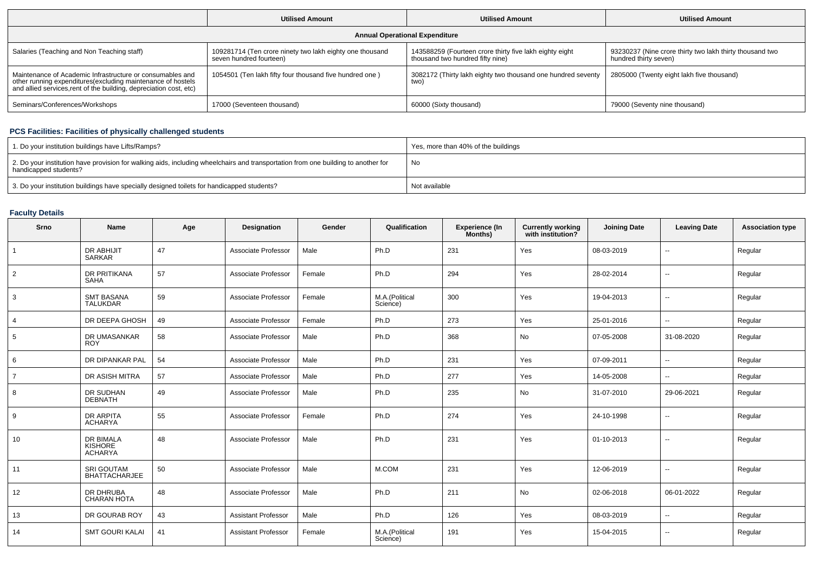|                                                                                                                                                                                                 | <b>Utilised Amount</b>                                                              | <b>Utilised Amount</b>                                                                      | <b>Utilised Amount</b>                                                            |
|-------------------------------------------------------------------------------------------------------------------------------------------------------------------------------------------------|-------------------------------------------------------------------------------------|---------------------------------------------------------------------------------------------|-----------------------------------------------------------------------------------|
|                                                                                                                                                                                                 |                                                                                     | <b>Annual Operational Expenditure</b>                                                       |                                                                                   |
| Salaries (Teaching and Non Teaching staff)                                                                                                                                                      | 109281714 (Ten crore ninety two lakh eighty one thousand<br>seven hundred fourteen) | 143588259 (Fourteen crore thirty five lakh eighty eight<br>thousand two hundred fifty nine) | 93230237 (Nine crore thirty two lakh thirty thousand two<br>hundred thirty seven) |
| Maintenance of Academic Infrastructure or consumables and<br>other running expenditures (excluding maintenance of hostels<br>and allied services, rent of the building, depreciation cost, etc) | 1054501 (Ten lakh fifty four thousand five hundred one)                             | 3082172 (Thirty lakh eighty two thousand one hundred seventy<br>two)                        | 2805000 (Twenty eight lakh five thousand)                                         |
| Seminars/Conferences/Workshops                                                                                                                                                                  | 17000 (Seventeen thousand)                                                          | 60000 (Sixty thousand)                                                                      | 79000 (Seventy nine thousand)                                                     |

### **PCS Facilities: Facilities of physically challenged students**

| 1. Do your institution buildings have Lifts/Ramps?                                                                                                         | Yes, more than 40% of the buildings |
|------------------------------------------------------------------------------------------------------------------------------------------------------------|-------------------------------------|
| 2. Do your institution have provision for walking aids, including wheelchairs and transportation from one building to another for<br>handicapped students? | No                                  |
| 3. Do your institution buildings have specially designed toilets for handicapped students?                                                                 | Not available                       |

# **Faculty Details**

| Srno           | <b>Name</b>                                          | Age | Designation                | Gender | Qualification              | Experience (In<br>Months) | <b>Currently working</b><br>with institution? | <b>Joining Date</b> | <b>Leaving Date</b>      | <b>Association type</b> |
|----------------|------------------------------------------------------|-----|----------------------------|--------|----------------------------|---------------------------|-----------------------------------------------|---------------------|--------------------------|-------------------------|
| $\mathbf{1}$   | DR ABHIJIT<br><b>SARKAR</b>                          | 47  | Associate Professor        | Male   | Ph.D                       | 231                       | Yes                                           | 08-03-2019          | ۰.                       | Regular                 |
| $\overline{2}$ | DR PRITIKANA<br>SAHA                                 | 57  | Associate Professor        | Female | Ph.D                       | 294                       | Yes                                           | 28-02-2014          | $\overline{\phantom{a}}$ | Regular                 |
| 3              | <b>SMT BASANA</b><br><b>TALUKDAR</b>                 | 59  | Associate Professor        | Female | M.A.(Political<br>Science) | 300                       | Yes                                           | 19-04-2013          | $\sim$                   | Regular                 |
| $\overline{4}$ | DR DEEPA GHOSH                                       | 49  | Associate Professor        | Female | Ph.D                       | 273                       | Yes                                           | 25-01-2016          | $\overline{\phantom{a}}$ | Regular                 |
| 5              | DR UMASANKAR<br><b>ROY</b>                           | 58  | Associate Professor        | Male   | Ph.D                       | 368                       | No                                            | 07-05-2008          | 31-08-2020               | Regular                 |
| 6              | DR DIPANKAR PAL                                      | 54  | Associate Professor        | Male   | Ph.D                       | 231                       | Yes                                           | 07-09-2011          | $\overline{\phantom{a}}$ | Regular                 |
| $\overline{7}$ | DR ASISH MITRA                                       | 57  | Associate Professor        | Male   | Ph.D                       | 277                       | Yes                                           | 14-05-2008          | $-$                      | Regular                 |
| 8              | DR SUDHAN<br><b>DEBNATH</b>                          | 49  | Associate Professor        | Male   | Ph.D                       | 235                       | No                                            | 31-07-2010          | 29-06-2021               | Regular                 |
| 9              | <b>DR ARPITA</b><br><b>ACHARYA</b>                   | 55  | Associate Professor        | Female | Ph.D                       | 274                       | Yes                                           | 24-10-1998          | ۰.                       | Regular                 |
| 10             | <b>DR BIMALA</b><br><b>KISHORE</b><br><b>ACHARYA</b> | 48  | Associate Professor        | Male   | Ph.D                       | 231                       | Yes                                           | 01-10-2013          | $\overline{\phantom{a}}$ | Regular                 |
| 11             | <b>SRI GOUTAM</b><br><b>BHATTACHARJEE</b>            | 50  | Associate Professor        | Male   | M.COM                      | 231                       | Yes                                           | 12-06-2019          | $\overline{\phantom{a}}$ | Regular                 |
| 12             | DR DHRUBA<br><b>CHARAN HOTA</b>                      | 48  | Associate Professor        | Male   | Ph.D                       | 211                       | No                                            | 02-06-2018          | 06-01-2022               | Regular                 |
| 13             | DR GOURAB ROY                                        | 43  | <b>Assistant Professor</b> | Male   | Ph.D                       | 126                       | Yes                                           | 08-03-2019          | $\mathbf{u}$             | Regular                 |
| 14             | <b>SMT GOURI KALAI</b>                               | 41  | <b>Assistant Professor</b> | Female | M.A.(Political<br>Science) | 191                       | Yes                                           | 15-04-2015          | ۰.                       | Regular                 |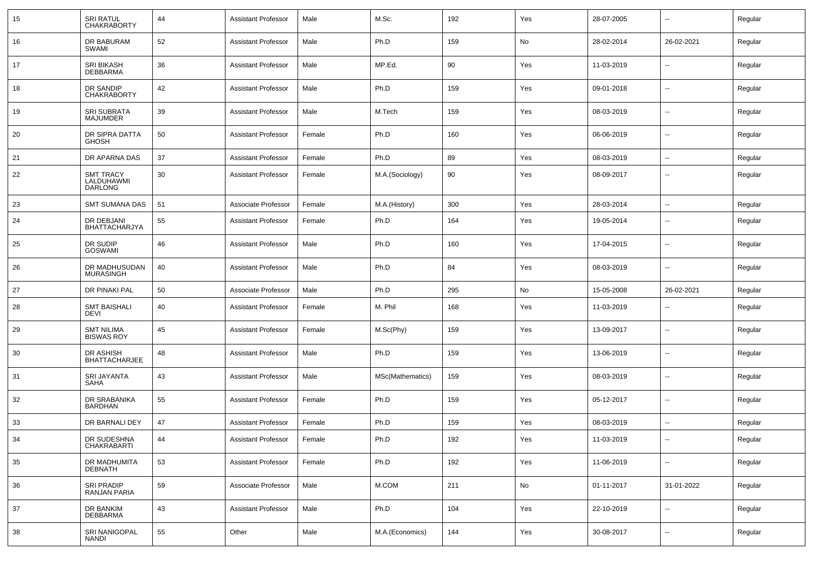| 15 | <b>SRI RATUL</b><br><b>CHAKRABORTY</b>           | 44 | <b>Assistant Professor</b> | Male   | M.Sc.            | 192 | Yes | 28-07-2005 | --                       | Regular |
|----|--------------------------------------------------|----|----------------------------|--------|------------------|-----|-----|------------|--------------------------|---------|
| 16 | DR BABURAM<br>SWAMI                              | 52 | <b>Assistant Professor</b> | Male   | Ph.D             | 159 | No  | 28-02-2014 | 26-02-2021               | Regular |
| 17 | <b>SRI BIKASH</b><br><b>DEBBARMA</b>             | 36 | <b>Assistant Professor</b> | Male   | MP.Ed.           | 90  | Yes | 11-03-2019 | --                       | Regular |
| 18 | DR SANDIP<br><b>CHAKRABORTY</b>                  | 42 | <b>Assistant Professor</b> | Male   | Ph.D             | 159 | Yes | 09-01-2018 | --                       | Regular |
| 19 | SRI SUBRATA<br><b>MAJUMDER</b>                   | 39 | <b>Assistant Professor</b> | Male   | M.Tech           | 159 | Yes | 08-03-2019 | --                       | Regular |
| 20 | DR SIPRA DATTA<br><b>GHOSH</b>                   | 50 | <b>Assistant Professor</b> | Female | Ph.D             | 160 | Yes | 06-06-2019 | --                       | Regular |
| 21 | DR APARNA DAS                                    | 37 | <b>Assistant Professor</b> | Female | Ph.D             | 89  | Yes | 08-03-2019 | --                       | Regular |
| 22 | <b>SMT TRACY</b><br>LALDUHAWMI<br><b>DARLONG</b> | 30 | <b>Assistant Professor</b> | Female | M.A.(Sociology)  | 90  | Yes | 08-09-2017 | --                       | Regular |
| 23 | <b>SMT SUMANA DAS</b>                            | 51 | Associate Professor        | Female | M.A.(History)    | 300 | Yes | 28-03-2014 | --                       | Regular |
| 24 | DR DEBJANI<br><b>BHATTACHARJYA</b>               | 55 | <b>Assistant Professor</b> | Female | Ph.D             | 164 | Yes | 19-05-2014 | --                       | Regular |
| 25 | DR SUDIP<br><b>GOSWAMI</b>                       | 46 | <b>Assistant Professor</b> | Male   | Ph.D             | 160 | Yes | 17-04-2015 | --                       | Regular |
| 26 | DR MADHUSUDAN<br><b>MURASINGH</b>                | 40 | <b>Assistant Professor</b> | Male   | Ph.D             | 84  | Yes | 08-03-2019 | --                       | Regular |
| 27 | DR PINAKI PAL                                    | 50 | Associate Professor        | Male   | Ph.D             | 295 | No  | 15-05-2008 | 26-02-2021               | Regular |
| 28 | <b>SMT BAISHALI</b><br><b>DEVI</b>               | 40 | <b>Assistant Professor</b> | Female | M. Phil          | 168 | Yes | 11-03-2019 |                          | Regular |
| 29 | <b>SMT NILIMA</b><br><b>BISWAS ROY</b>           | 45 | <b>Assistant Professor</b> | Female | M.Sc(Phy)        | 159 | Yes | 13-09-2017 | $\overline{\phantom{a}}$ | Regular |
| 30 | DR ASHISH<br><b>BHATTACHARJEE</b>                | 48 | <b>Assistant Professor</b> | Male   | Ph.D             | 159 | Yes | 13-06-2019 | --                       | Regular |
| 31 | SRI JAYANTA<br><b>SAHA</b>                       | 43 | <b>Assistant Professor</b> | Male   | MSc(Mathematics) | 159 | Yes | 08-03-2019 | $\overline{\phantom{a}}$ | Regular |
| 32 | DR SRABANIKA<br><b>BARDHAN</b>                   | 55 | <b>Assistant Professor</b> | Female | Ph.D             | 159 | Yes | 05-12-2017 | --                       | Regular |
| 33 | DR BARNALI DEY                                   | 47 | <b>Assistant Professor</b> | Female | Ph.D             | 159 | Yes | 08-03-2019 | $\overline{a}$           | Regular |
| 34 | DR SUDESHNA<br><b>CHAKRABARTI</b>                | 44 | <b>Assistant Professor</b> | Female | Ph.D             | 192 | Yes | 11-03-2019 | --                       | Regular |
| 35 | DR MADHUMITA<br><b>DEBNATH</b>                   | 53 | <b>Assistant Professor</b> | Female | Ph.D             | 192 | Yes | 11-06-2019 | Ξ.                       | Regular |
| 36 | SRI PRADIP<br>RANJAN PARIA                       | 59 | Associate Professor        | Male   | M.COM            | 211 | No  | 01-11-2017 | 31-01-2022               | Regular |
| 37 | DR BANKIM<br>DEBBARMA                            | 43 | <b>Assistant Professor</b> | Male   | Ph.D             | 104 | Yes | 22-10-2019 | Ξ.                       | Regular |
| 38 | SRI NANIGOPAL<br>NANDI                           | 55 | Other                      | Male   | M.A.(Economics)  | 144 | Yes | 30-08-2017 | н.                       | Regular |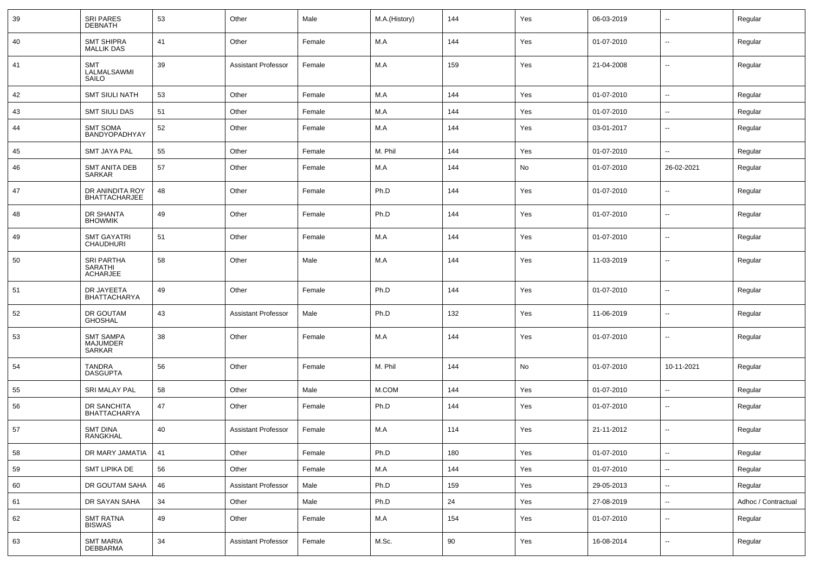| 39 | <b>SRI PARES</b><br><b>DEBNATH</b>                     | 53 | Other                      | Male   | M.A.(History) | 144 | Yes | 06-03-2019 | $\overline{\phantom{a}}$ | Regular             |
|----|--------------------------------------------------------|----|----------------------------|--------|---------------|-----|-----|------------|--------------------------|---------------------|
| 40 | <b>SMT SHIPRA</b><br><b>MALLIK DAS</b>                 | 41 | Other                      | Female | M.A           | 144 | Yes | 01-07-2010 | $\sim$                   | Regular             |
| 41 | <b>SMT</b><br>LALMALSAWMI<br>SAILO                     | 39 | <b>Assistant Professor</b> | Female | M.A           | 159 | Yes | 21-04-2008 | $\overline{\phantom{a}}$ | Regular             |
| 42 | <b>SMT SIULI NATH</b>                                  | 53 | Other                      | Female | M.A           | 144 | Yes | 01-07-2010 | $\ddot{\phantom{a}}$     | Regular             |
| 43 | <b>SMT SIULI DAS</b>                                   | 51 | Other                      | Female | M.A           | 144 | Yes | 01-07-2010 | $\sim$                   | Regular             |
| 44 | <b>SMT SOMA</b><br>BANDYOPADHYAY                       | 52 | Other                      | Female | M.A           | 144 | Yes | 03-01-2017 | $\overline{\phantom{a}}$ | Regular             |
| 45 | <b>SMT JAYA PAL</b>                                    | 55 | Other                      | Female | M. Phil       | 144 | Yes | 01-07-2010 | --                       | Regular             |
| 46 | <b>SMT ANITA DEB</b><br>SARKAR                         | 57 | Other                      | Female | M.A           | 144 | No  | 01-07-2010 | 26-02-2021               | Regular             |
| 47 | DR ANINDITA ROY<br><b>BHATTACHARJEE</b>                | 48 | Other                      | Female | Ph.D          | 144 | Yes | 01-07-2010 | --                       | Regular             |
| 48 | DR SHANTA<br><b>BHOWMIK</b>                            | 49 | Other                      | Female | Ph.D          | 144 | Yes | 01-07-2010 | $\sim$                   | Regular             |
| 49 | <b>SMT GAYATRI</b><br><b>CHAUDHURI</b>                 | 51 | Other                      | Female | M.A           | 144 | Yes | 01-07-2010 | $\sim$                   | Regular             |
| 50 | <b>SRI PARTHA</b><br><b>SARATHI</b><br><b>ACHARJEE</b> | 58 | Other                      | Male   | M.A           | 144 | Yes | 11-03-2019 | $\sim$                   | Regular             |
| 51 | DR JAYEETA<br><b>BHATTACHARYA</b>                      | 49 | Other                      | Female | Ph.D          | 144 | Yes | 01-07-2010 | --                       | Regular             |
| 52 | DR GOUTAM<br><b>GHOSHAL</b>                            | 43 | <b>Assistant Professor</b> | Male   | Ph.D          | 132 | Yes | 11-06-2019 | --                       | Regular             |
| 53 | <b>SMT SAMPA</b><br><b>MAJUMDER</b><br>SARKAR          | 38 | Other                      | Female | M.A           | 144 | Yes | 01-07-2010 | --                       | Regular             |
| 54 | <b>TANDRA</b><br><b>DASGUPTA</b>                       | 56 | Other                      | Female | M. Phil       | 144 | No  | 01-07-2010 | 10-11-2021               | Regular             |
| 55 | <b>SRI MALAY PAL</b>                                   | 58 | Other                      | Male   | M.COM         | 144 | Yes | 01-07-2010 | $\sim$                   | Regular             |
| 56 | DR SANCHITA<br><b>BHATTACHARYA</b>                     | 47 | Other                      | Female | Ph.D          | 144 | Yes | 01-07-2010 | --                       | Regular             |
| 57 | <b>SMT DINA</b><br>RANGKHAL                            | 40 | <b>Assistant Professor</b> | Female | M.A           | 114 | Yes | 21-11-2012 | --                       | Regular             |
| 58 | DR MARY JAMATIA                                        | 41 | Other                      | Female | Ph.D          | 180 | Yes | 01-07-2010 | $\overline{\phantom{a}}$ | Regular             |
| 59 | SMT LIPIKA DE                                          | 56 | Other                      | Female | M.A           | 144 | Yes | 01-07-2010 | $\overline{\phantom{a}}$ | Regular             |
| 60 | DR GOUTAM SAHA                                         | 46 | <b>Assistant Professor</b> | Male   | Ph.D          | 159 | Yes | 29-05-2013 | $\overline{\phantom{a}}$ | Regular             |
| 61 | DR SAYAN SAHA                                          | 34 | Other                      | Male   | Ph.D          | 24  | Yes | 27-08-2019 | $\overline{\phantom{a}}$ | Adhoc / Contractual |
| 62 | <b>SMT RATNA</b><br><b>BISWAS</b>                      | 49 | Other                      | Female | M.A           | 154 | Yes | 01-07-2010 | $\overline{\phantom{a}}$ | Regular             |
| 63 | SMT MARIA<br>DEBBARMA                                  | 34 | <b>Assistant Professor</b> | Female | M.Sc.         | 90  | Yes | 16-08-2014 | $\sim$                   | Regular             |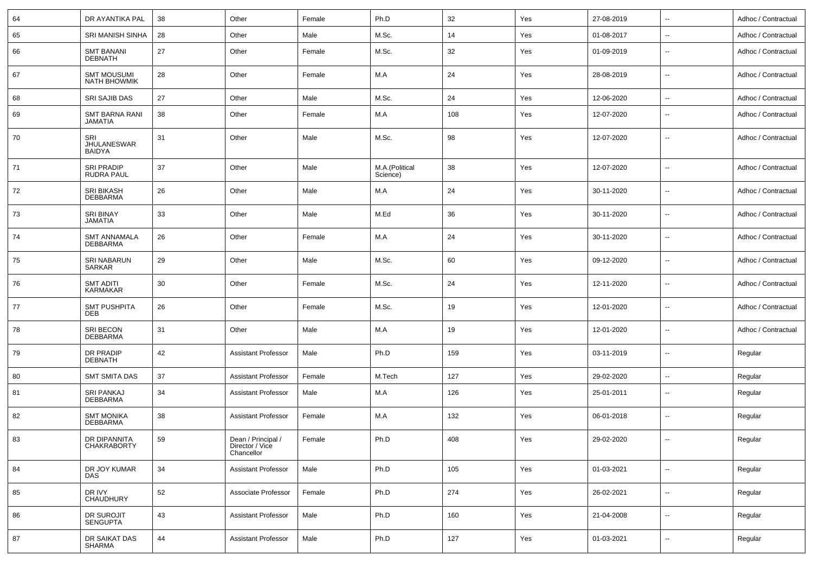| 64 | DR AYANTIKA PAL                            | 38 | Other                                               | Female | Ph.D                       | 32  | Yes | 27-08-2019 | $\sim$                   | Adhoc / Contractual |
|----|--------------------------------------------|----|-----------------------------------------------------|--------|----------------------------|-----|-----|------------|--------------------------|---------------------|
| 65 | SRI MANISH SINHA                           | 28 | Other                                               | Male   | M.Sc.                      | 14  | Yes | 01-08-2017 | $\overline{\phantom{a}}$ | Adhoc / Contractual |
| 66 | <b>SMT BANANI</b><br><b>DEBNATH</b>        | 27 | Other                                               | Female | M.Sc.                      | 32  | Yes | 01-09-2019 | $\sim$                   | Adhoc / Contractual |
| 67 | <b>SMT MOUSUMI</b><br><b>NATH BHOWMIK</b>  | 28 | Other                                               | Female | M.A                        | 24  | Yes | 28-08-2019 | $\sim$                   | Adhoc / Contractual |
| 68 | SRI SAJIB DAS                              | 27 | Other                                               | Male   | M.Sc.                      | 24  | Yes | 12-06-2020 | $\overline{\phantom{a}}$ | Adhoc / Contractual |
| 69 | <b>SMT BARNA RANI</b><br><b>JAMATIA</b>    | 38 | Other                                               | Female | M.A                        | 108 | Yes | 12-07-2020 | $\overline{\phantom{a}}$ | Adhoc / Contractual |
| 70 | SRI<br><b>JHULANESWAR</b><br><b>BAIDYA</b> | 31 | Other                                               | Male   | M.Sc.                      | 98  | Yes | 12-07-2020 | $\sim$                   | Adhoc / Contractual |
| 71 | <b>SRI PRADIP</b><br><b>RUDRA PAUL</b>     | 37 | Other                                               | Male   | M.A.(Political<br>Science) | 38  | Yes | 12-07-2020 | $\sim$                   | Adhoc / Contractual |
| 72 | <b>SRI BIKASH</b><br><b>DEBBARMA</b>       | 26 | Other                                               | Male   | M.A                        | 24  | Yes | 30-11-2020 | $\sim$                   | Adhoc / Contractual |
| 73 | <b>SRI BINAY</b><br><b>JAMATIA</b>         | 33 | Other                                               | Male   | M.Ed                       | 36  | Yes | 30-11-2020 | $\sim$                   | Adhoc / Contractual |
| 74 | <b>SMT ANNAMALA</b><br><b>DEBBARMA</b>     | 26 | Other                                               | Female | M.A                        | 24  | Yes | 30-11-2020 | $\sim$                   | Adhoc / Contractual |
| 75 | SRI NABARUN<br>SARKAR                      | 29 | Other                                               | Male   | M.Sc.                      | 60  | Yes | 09-12-2020 | $\sim$                   | Adhoc / Contractual |
| 76 | <b>SMT ADITI</b><br><b>KARMAKAR</b>        | 30 | Other                                               | Female | M.Sc.                      | 24  | Yes | 12-11-2020 | $\sim$                   | Adhoc / Contractual |
| 77 | <b>SMT PUSHPITA</b><br><b>DEB</b>          | 26 | Other                                               | Female | M.Sc.                      | 19  | Yes | 12-01-2020 | $\sim$                   | Adhoc / Contractual |
| 78 | SRI BECON<br><b>DEBBARMA</b>               | 31 | Other                                               | Male   | M.A                        | 19  | Yes | 12-01-2020 | $\sim$                   | Adhoc / Contractual |
| 79 | DR PRADIP<br><b>DEBNATH</b>                | 42 | <b>Assistant Professor</b>                          | Male   | Ph.D                       | 159 | Yes | 03-11-2019 | $\sim$                   | Regular             |
| 80 | <b>SMT SMITA DAS</b>                       | 37 | <b>Assistant Professor</b>                          | Female | M.Tech                     | 127 | Yes | 29-02-2020 | $\sim$                   | Regular             |
| 81 | <b>SRI PANKAJ</b><br>DEBBARMA              | 34 | <b>Assistant Professor</b>                          | Male   | M.A                        | 126 | Yes | 25-01-2011 | $\overline{\phantom{a}}$ | Regular             |
| 82 | <b>SMT MONIKA</b><br><b>DEBBARMA</b>       | 38 | <b>Assistant Professor</b>                          | Female | M.A                        | 132 | Yes | 06-01-2018 | $\overline{\phantom{a}}$ | Regular             |
| 83 | DR DIPANNITA<br>CHAKRABORTY                | 59 | Dean / Principal /<br>Director / Vice<br>Chancellor | Female | Ph.D                       | 408 | Yes | 29-02-2020 | $\overline{\phantom{a}}$ | Regular             |
| 84 | DR JOY KUMAR<br><b>DAS</b>                 | 34 | <b>Assistant Professor</b>                          | Male   | Ph.D                       | 105 | Yes | 01-03-2021 | $\sim$                   | Regular             |
| 85 | DR IVY<br><b>CHAUDHURY</b>                 | 52 | Associate Professor                                 | Female | Ph.D                       | 274 | Yes | 26-02-2021 | $\sim$                   | Regular             |
| 86 | DR SUROJIT<br>SENGUPTA                     | 43 | <b>Assistant Professor</b>                          | Male   | Ph.D                       | 160 | Yes | 21-04-2008 | $\sim$                   | Regular             |
| 87 | DR SAIKAT DAS<br>SHARMA                    | 44 | <b>Assistant Professor</b>                          | Male   | Ph.D                       | 127 | Yes | 01-03-2021 | $\ddotsc$                | Regular             |